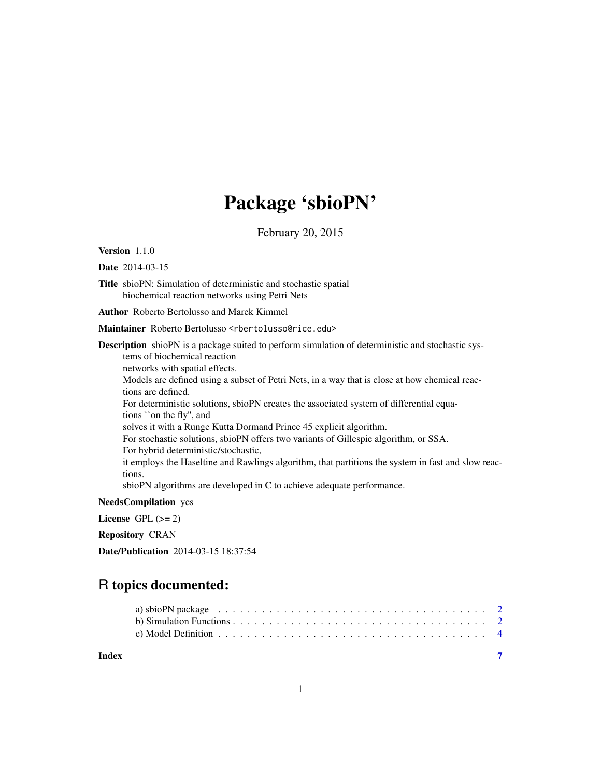## Package 'sbioPN'

February 20, 2015

Version 1.1.0

Date 2014-03-15

Title sbioPN: Simulation of deterministic and stochastic spatial biochemical reaction networks using Petri Nets

Author Roberto Bertolusso and Marek Kimmel

Maintainer Roberto Bertolusso <rbertolusso@rice.edu>

Description sbioPN is a package suited to perform simulation of deterministic and stochastic systems of biochemical reaction networks with spatial effects. Models are defined using a subset of Petri Nets, in a way that is close at how chemical reactions are defined. For deterministic solutions, sbioPN creates the associated system of differential equations ``on the fly'', and solves it with a Runge Kutta Dormand Prince 45 explicit algorithm. For stochastic solutions, sbioPN offers two variants of Gillespie algorithm, or SSA. For hybrid deterministic/stochastic, it employs the Haseltine and Rawlings algorithm, that partitions the system in fast and slow reactions. sbioPN algorithms are developed in C to achieve adequate performance.

NeedsCompilation yes

License GPL  $(>= 2)$ 

Repository CRAN

Date/Publication 2014-03-15 18:37:54

## R topics documented:

| Index |                                                                                                                  |
|-------|------------------------------------------------------------------------------------------------------------------|
|       | c) Model Definition $\ldots \ldots \ldots \ldots \ldots \ldots \ldots \ldots \ldots \ldots \ldots \ldots$        |
|       |                                                                                                                  |
|       | a) sbioPN package $\ldots \ldots \ldots \ldots \ldots \ldots \ldots \ldots \ldots \ldots \ldots \ldots \ldots 2$ |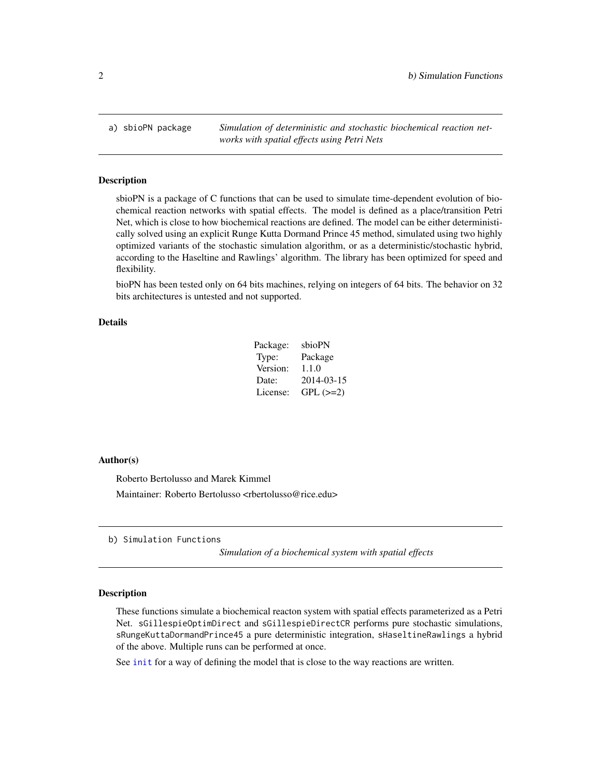<span id="page-1-0"></span>a) sbioPN package *Simulation of deterministic and stochastic biochemical reaction networks with spatial effects using Petri Nets*

#### Description

sbioPN is a package of C functions that can be used to simulate time-dependent evolution of biochemical reaction networks with spatial effects. The model is defined as a place/transition Petri Net, which is close to how biochemical reactions are defined. The model can be either deterministically solved using an explicit Runge Kutta Dormand Prince 45 method, simulated using two highly optimized variants of the stochastic simulation algorithm, or as a deterministic/stochastic hybrid, according to the Haseltine and Rawlings' algorithm. The library has been optimized for speed and flexibility.

bioPN has been tested only on 64 bits machines, relying on integers of 64 bits. The behavior on 32 bits architectures is untested and not supported.

## Details

| Package: | sbioPN     |
|----------|------------|
| Type:    | Package    |
| Version: | 1.1.0      |
| Date:    | 2014-03-15 |
| License: | $GPL (=2)$ |

#### Author(s)

Roberto Bertolusso and Marek Kimmel Maintainer: Roberto Bertolusso <rbertolusso@rice.edu>

b) Simulation Functions

*Simulation of a biochemical system with spatial effects*

#### <span id="page-1-1"></span>Description

These functions simulate a biochemical reacton system with spatial effects parameterized as a Petri Net. sGillespieOptimDirect and sGillespieDirectCR performs pure stochastic simulations, sRungeKuttaDormandPrince45 a pure deterministic integration, sHaseltineRawlings a hybrid of the above. Multiple runs can be performed at once.

See [init](#page-3-1) for a way of defining the model that is close to the way reactions are written.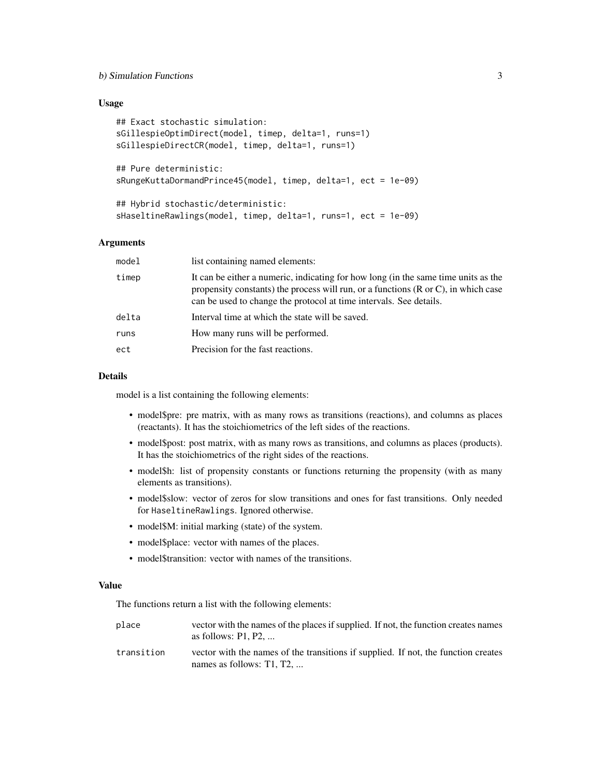## b) Simulation Functions 3

## Usage

```
## Exact stochastic simulation:
sGillespieOptimDirect(model, timep, delta=1, runs=1)
sGillespieDirectCR(model, timep, delta=1, runs=1)
## Pure deterministic:
sRungeKuttaDormandPrince45(model, timep, delta=1, ect = 1e-09)
## Hybrid stochastic/deterministic:
sHaseltineRawlings(model, timep, delta=1, runs=1, ect = 1e-09)
```
### Arguments

| model | list containing named elements:                                                                                                                                                                                                                     |
|-------|-----------------------------------------------------------------------------------------------------------------------------------------------------------------------------------------------------------------------------------------------------|
| timep | It can be either a numeric, indicating for how long (in the same time units as the<br>propensity constants) the process will run, or a functions $(R$ or $C)$ , in which case<br>can be used to change the protocol at time intervals. See details. |
| delta | Interval time at which the state will be saved.                                                                                                                                                                                                     |
| runs  | How many runs will be performed.                                                                                                                                                                                                                    |
| ect   | Precision for the fast reactions.                                                                                                                                                                                                                   |
|       |                                                                                                                                                                                                                                                     |

#### Details

model is a list containing the following elements:

- model\$pre: pre matrix, with as many rows as transitions (reactions), and columns as places (reactants). It has the stoichiometrics of the left sides of the reactions.
- model\$post: post matrix, with as many rows as transitions, and columns as places (products). It has the stoichiometrics of the right sides of the reactions.
- model\$h: list of propensity constants or functions returning the propensity (with as many elements as transitions).
- model\$slow: vector of zeros for slow transitions and ones for fast transitions. Only needed for HaseltineRawlings. Ignored otherwise.
- model\$M: initial marking (state) of the system.
- model\$place: vector with names of the places.
- model\$transition: vector with names of the transitions.

## Value

The functions return a list with the following elements:

- place vector with the names of the places if supplied. If not, the function creates names as follows: P1, P2, ...
- transition vector with the names of the transitions if supplied. If not, the function creates names as follows: T1, T2, ...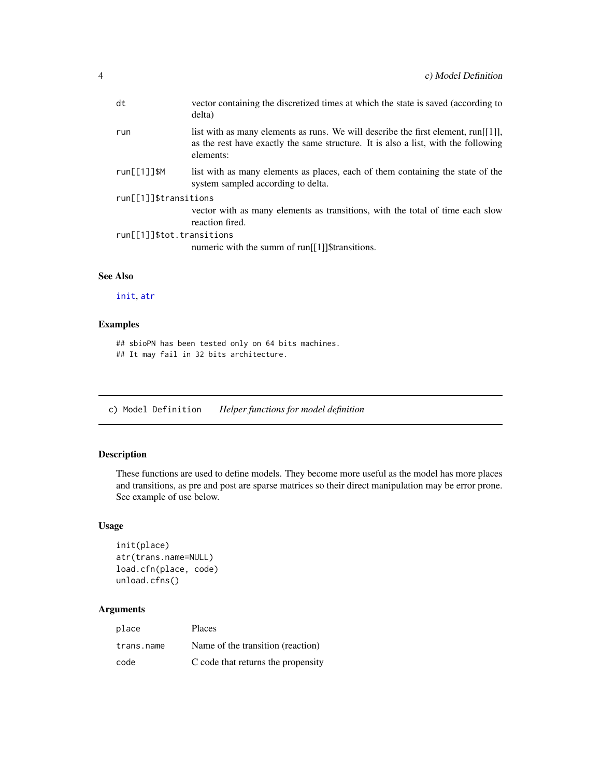<span id="page-3-0"></span>

|                           | dt              | vector containing the discretized times at which the state is saved (according to<br>delta)                                                                                             |  |  |
|---------------------------|-----------------|-----------------------------------------------------------------------------------------------------------------------------------------------------------------------------------------|--|--|
|                           | run             | list with as many elements as runs. We will describe the first element, run $[1]$ ],<br>as the rest have exactly the same structure. It is also a list, with the following<br>elements: |  |  |
|                           | $run[ [1]]$ \$M | list with as many elements as places, each of them containing the state of the<br>system sampled according to delta.                                                                    |  |  |
| run[[1]]\$transitions     |                 |                                                                                                                                                                                         |  |  |
|                           |                 | vector with as many elements as transitions, with the total of time each slow<br>reaction fired.                                                                                        |  |  |
| run[[1]]\$tot.transitions |                 |                                                                                                                                                                                         |  |  |
|                           |                 | numeric with the summ of run <sup>[[1]</sup> ]\$transitions.                                                                                                                            |  |  |
|                           |                 |                                                                                                                                                                                         |  |  |

## See Also

[init](#page-3-1), [atr](#page-3-1)

## Examples

## sbioPN has been tested only on 64 bits machines. ## It may fail in 32 bits architecture.

c) Model Definition *Helper functions for model definition*

## <span id="page-3-1"></span>Description

These functions are used to define models. They become more useful as the model has more places and transitions, as pre and post are sparse matrices so their direct manipulation may be error prone. See example of use below.

## Usage

```
init(place)
atr(trans.name=NULL)
load.cfn(place, code)
unload.cfns()
```
## Arguments

| place      | <b>Places</b>                      |
|------------|------------------------------------|
| trans.name | Name of the transition (reaction)  |
| code       | C code that returns the propensity |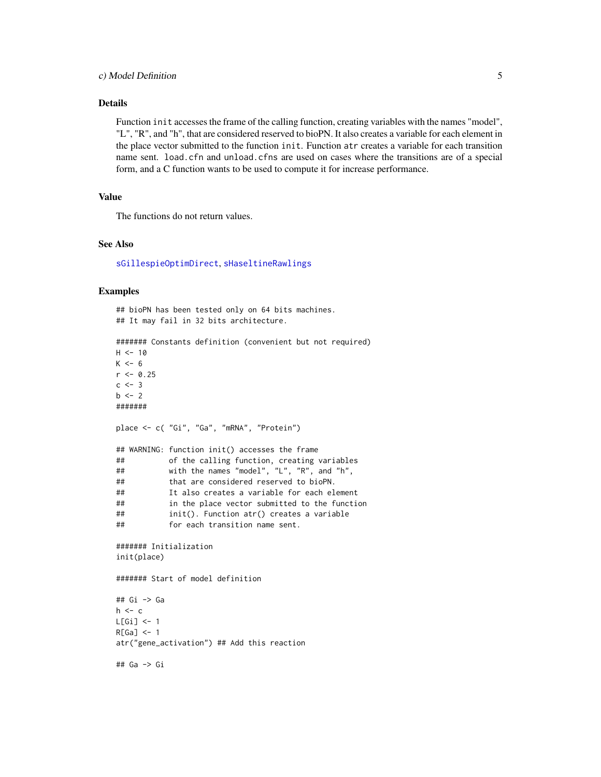## <span id="page-4-0"></span>Details

Function init accesses the frame of the calling function, creating variables with the names "model", "L", "R", and "h", that are considered reserved to bioPN. It also creates a variable for each element in the place vector submitted to the function init. Function atr creates a variable for each transition name sent. load.cfn and unload.cfns are used on cases where the transitions are of a special form, and a C function wants to be used to compute it for increase performance.

## Value

The functions do not return values.

## See Also

[sGillespieOptimDirect](#page-1-1), [sHaseltineRawlings](#page-1-1)

#### Examples

```
## bioPN has been tested only on 64 bits machines.
## It may fail in 32 bits architecture.
####### Constants definition (convenient but not required)
H < - 10K < -6r <- 0.25
c \le -3b \le -2#######
place <- c( "Gi", "Ga", "mRNA", "Protein")
## WARNING: function init() accesses the frame
## of the calling function, creating variables
## with the names "model", "L", "R", and "h",
## that are considered reserved to bioPN.
## It also creates a variable for each element
## in the place vector submitted to the function
## init(). Function atr() creates a variable
           for each transition name sent.
####### Initialization
init(place)
####### Start of model definition
## Gi -> Ga
h \leftarrow cL[Gi] <- 1
R[Ga] < -1atr("gene_activation") ## Add this reaction
## Ga -> Gi
```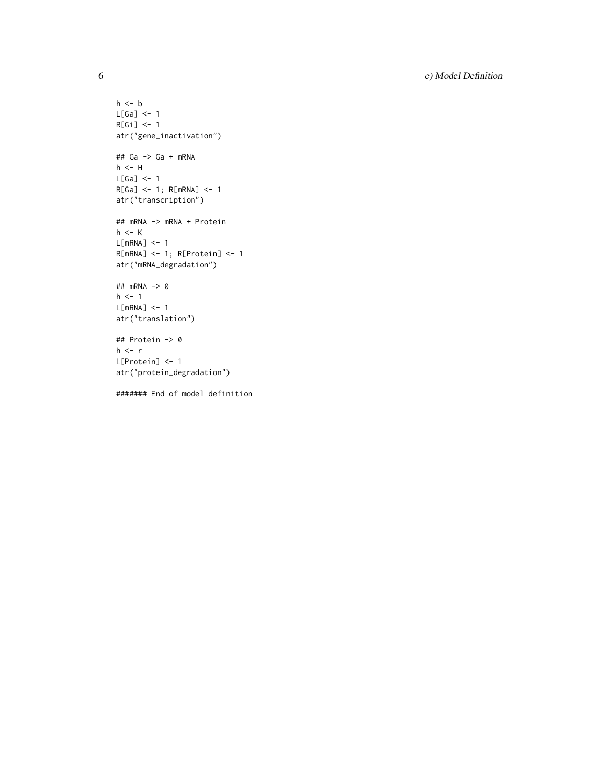6 c) Model Definition

```
h \leq bL[Ga] <- 1
R[Gi] <- 1
atr("gene_inactivation")
## Ga -> Ga + mRNA
h <- HL[Ga] <- 1
R[Ga] <- 1; R[mRNA] <- 1
atr("transcription")
## mRNA -> mRNA + Protein
h <- K
L[mRNA] <- 1
R[mRNA] <- 1; R[Protein] <- 1
atr("mRNA_degradation")
## mRNA -> 0
h \leq -1L[mRNA] <- 1
atr("translation")
## Protein -> 0
h \leftarrow rL[Protein] <- 1
atr("protein_degradation")
```
####### End of model definition